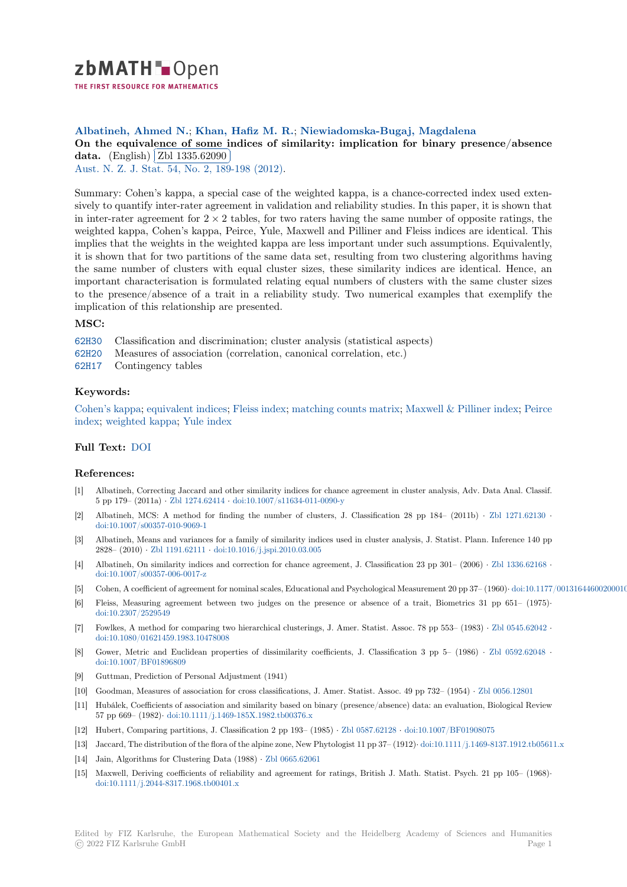

# **Albatineh, Ahmed N.**; **Khan, Hafiz M. R.**; **Niewiadomska-Bugaj, Magdalena**

[O](https://zbmath.org/)n the equivalence of some indices of similarity: implication for binary presence/absence **data.** (English) Zbl 1335.62090

Aust. N. Z. J. Stat. 54, No. 2, 189-198 (2012).

[Summary: Cohen's kappa, a special case of the weighted kappa, is a chance-corrected index used exten](https://zbmath.org/1335.62090)[sively](https://zbmath.org/1335.62090) to quantify [inter-rater agreem](https://zbmath.org/1335.62090)ent in validation and reliability studies. In this paper, it is shown that [in inter-rater agreem](https://zbmath.org/journals/?q=se:2444)ent for  $2 \times 2$  [tables, for t](https://zbmath.org/?q=in:310263)wo raters having the same number of opposite ratings, the weighted kappa, Cohen's kappa, Peirce, Yule, Maxwell and Pilliner and Fleiss indices are identical. This implies that the weights in the weighted kappa are less important under such assumptions. Equivalently, it is shown that for two partitions of the same data set, resulting from two clustering algorithms having the same number of clusters with equal cluster sizes, these similarity indices are identical. Hence, an important characterisation is formulated relating equal numbers of clusters with the same cluster sizes to the presence/absence of a trait in a reliability study. Two numerical examples that exemplify the implication of this relationship are presented.

#### **MSC:**

- 62H30 Classification and discrimination; cluster analysis (statistical aspects)
- 62H20 Measures of association (correlation, canonical correlation, etc.)
- 62H17 Contingency tables

# **[Keyw](https://zbmath.org/classification/?q=cc:62H30)ords:**

[Cohen](https://zbmath.org/classification/?q=cc:62H20)'s kappa; equivalent indices; Fleiss index; matching counts matrix; Maxwell & Pilliner index; Peirce [index;](https://zbmath.org/classification/?q=cc:62H17) weighted kappa; Yule index

# **Full Text:** DOI

# **[Refer](https://zbmath.org/?q=ut:Peirce+index)[ences:](https://zbmath.org/?q=ut:weighted+kappa)**

- [1] Albatineh, Correcting Jaccard and other similarity indices for chance agreement in cluster analysis, Adv. Data Anal. Classif. 5 pp 179– [\(2011](https://dx.doi.org/10.1111/j.1467-842X.2012.00674.x)a) *·* Zbl 1274.62414 *·* doi:10.1007/s11634-011-0090-y
- [2] Albatineh, MCS: A method for finding the number of clusters, J. Classification 28 pp 184– (2011b) *·* Zbl 1271.62130 *·* doi:10.1007/s00357-010-9069-1
- [3] Albatineh, Means and variances for a family of similarity indices used in cluster analysis, J. Statist. Plann. Inference 140 pp 2828– (2010) *·* Zbl [1191.62111](https://zbmath.org/1274.62414) *·* doi:1[0.1016/j.jspi.2010.03.005](https://dx.doi.org/10.1007/s11634-011-0090-y)
- [4] Albatineh, On similarity indices and correction for chance agreement, J. Classification 23 pp 301– (2006) *·* [Zbl 1336.62168](https://zbmath.org/1271.62130) *·* [doi:10.1007/s00357-006-0017-z](https://dx.doi.org/10.1007/s00357-010-9069-1)
- [5] Cohen, A coefficient of agreement for nominal scales, Educational and Psychological Measurement 20 pp 37– (1960)*·* doi:10.1177/001316446002000104
- [6] Fleiss, Measur[ing agreement](https://zbmath.org/1191.62111) b[etween two judges on the pr](https://dx.doi.org/10.1016/j.jspi.2010.03.005)esence or absence of a trait, Biometrics 31 pp 651– (1975)*·* doi:10.2307/2529549
- [7] [Fowlkes, A method for compar](https://dx.doi.org/10.1007/s00357-006-0017-z)ing two hierarchical clusterings, J. Amer. Statist. Assoc. 78 pp 553– (1983) *·* Zbl 0545.62042 *·* doi:10.1080/01621459.1983.10478008
- [8] Gower, Metric and Euclidean properties of dissimilarity coefficients, J. Classification 3 pp 5– (1986) *·* Zbl 0592.62048 *·* [doi:10.1007/BF01896](https://dx.doi.org/10.2307/2529549)809
- [9] Guttman, Prediction of Personal Adjustment (1941)
- [10] [Goodman, Measures of association fo](https://dx.doi.org/10.1080/01621459.1983.10478008)r cross classifications, J. Amer. Statist. Assoc. 49 pp 732– (1954) *·* Zbl 0056.12801
- [11] Hubálek, Coefficients of association and similarity based on binary (presence/absence) data: an evaluation, [Biological Revie](https://zbmath.org/0592.62048)w [57 pp 669– \(1982\)](https://dx.doi.org/10.1007/BF01896809)*·* doi:10.1111/j.1469-185X.1982.tb00376.x
- [12] Hubert, Comparing partitions, J. Classification 2 pp 193– (1985) *·* Zbl 0587.62128 *·* doi:10.1007/BF01908075
- [13] Jaccard, The distribution of the flora of the alpine zone, New Phytologist 11 pp 37– (1912)*·* doi:10.1111/j.1[469-8137.1912.tb](https://zbmath.org/0056.12801)05611.x
- [14] Jain, Algorithms for Clustering Data (1988) *·* Zbl 0665.62061
- [15] Maxwell, Deriving [coefficients of reliability and agreement](https://dx.doi.org/10.1111/j.1469-185X.1982.tb00376.x) for rat[ings, British J.](https://zbmath.org/0587.62128) [Math. Statist. Psych. 21 p](https://dx.doi.org/10.1007/BF01908075)p 105– (1968)*·* doi:10.1111/j.2044-8317.1968.tb00401.x